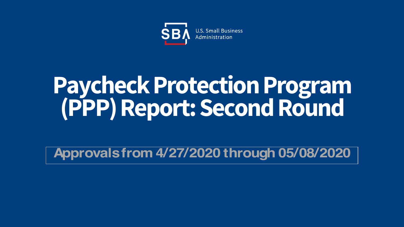

# **Paycheck Protection Program (PPP) Report: Second Round**

**Approvals from 4/27/2020 through 05/08/2020**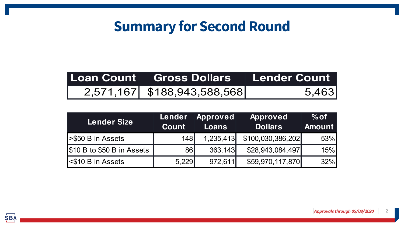# **Summary for Second Round**

| Loan Count Gross Dollars Lender Count |       |  |
|---------------------------------------|-------|--|
| 2,571,167 \$188,943,588,568           | 5,463 |  |

| <b>Lender Size</b>              | Lender<br><b>Count</b> | <b>Approved</b><br><b>Loans</b> | <b>Approved</b><br><b>Dollars</b> | $%$ of<br><b>Amount</b> |
|---------------------------------|------------------------|---------------------------------|-----------------------------------|-------------------------|
| <b>S50 B in Assets</b>          | <b>148</b>             | 1,235,413                       | \$100,030,386,202]                | 53%                     |
| $ \$10 B$ to $\$50 B$ in Assets | <b>86</b>              | 363,143                         | \$28,943,084,497                  | 15%                     |
| <b>S10 B in Assets</b>          | 5,229                  | 972,611                         | \$59,970,117,870                  | 32%                     |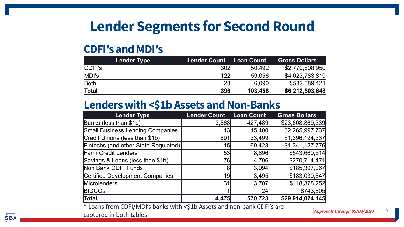# **Lender Segments for Second Round**

#### **CDFI's and MDI's**

| <b>Lender Type</b> | <b>Lender Count</b> | <b>Loan Count</b> | <b>Gross Dollars</b> |
|--------------------|---------------------|-------------------|----------------------|
| <b>CDFI's</b>      | 302                 | 50,492            | \$2,770,808,950      |
| MDI's              | 122                 | 59,056            | \$4,023,783,819      |
| Both               | 28                  | 6,090             | \$582,089,121        |
| Total              | 396                 | 103,458           | \$6,212,503,648      |

#### **Lenders with <\$1b Assets and Non-Banks**

| <b>Lender Type</b>                      | <b>Lender Count</b> | <b>Loan Count</b> | <b>Gross Dollars</b> |
|-----------------------------------------|---------------------|-------------------|----------------------|
| Banks (less than \$1b)                  | 3,568               | 427,489           | \$23,608,869,339     |
| <b>Small Business Lending Companies</b> | 13                  | 15,400            | \$2,265,997,737      |
| Credit Unions (less than \$1b)          | 691                 | 33,499            | \$1,396,194,337      |
| Fintechs (and other State Regulated)    | 15                  | 69,423            | \$1,341,127,776      |
| <b>Farm Credit Lenders</b>              | 53                  | 8,896             | \$543,660,514        |
| Savings & Loans (less than \$1b)        | 76                  | 4,796             | \$270,714,471        |
| Non Bank CDFI Funds                     | 8                   | 3,994             | \$185,307,067        |
| <b>Certified Development Companies</b>  | 19                  | 3,495             | \$183,030,847        |
| Microlenders                            | 31                  | 3,707             | \$118,378,252        |
| <b>BIDCOS</b>                           |                     | 24                | \$743,805            |
| Total                                   | 4,475               | 570,723           | \$29,914,024,145     |

\* Loans from CDFI/MDI's banks with <\$1b Assets and non-bank CDFI's are

captured in both tables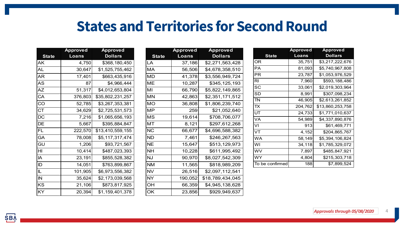### **States and Territories for Second Round**

|              | <b>Approved</b> | <b>Approved</b>  |
|--------------|-----------------|------------------|
| <b>State</b> | Loans           | <b>Dollars</b>   |
| ΑK           | 4,750           | \$368,180,450    |
| AL           | 30,647          | \$1,525,755,462  |
| AR           | 17,401          | \$663,435,916    |
| AS           | 87              | \$4,966,444      |
| <b>AZ</b>    | 51,317          | \$4,012,653,804  |
| CA           | 376,803         | \$35,802,231,257 |
| CO           | 52,785          | \$3,267,353,381  |
| <b>CT</b>    | 34,629          | \$2,725,531,573  |
| DC           | 7,216           | \$1,065,656,193  |
| DE           | 5,667           | \$395,884,847    |
| FL           | 222,570         | \$13,410,559,155 |
| GA           | 78,008          | \$5,117,317,474  |
| GU           | 1,206           | \$93,721,567     |
| HI           | 10,414          | \$487,023,393    |
| IA           | 23,191          | \$855,528,382    |
| ID           | 14,051          | \$763,899,867    |
| IL           | 101,905         | \$6,973,556,382  |
| IN           | 35,624          | \$2,173,039,568  |
| KS           | 21,106          | \$873,817,925    |
| KY           | 20,394          | \$1,159,401,378  |

|              | <b>Approved</b> | <b>Approved</b>  |
|--------------|-----------------|------------------|
| <b>State</b> | Loans           | <b>Dollars</b>   |
| LA           | 37,186          | \$2,271,563,428  |
| MА           | 56,506          | \$4,678,358,510  |
| MD           | 41,378          | \$3,556,949,724  |
| MF           | 10,287          | \$345,125,193    |
| МΙ           | 66,790          | \$5,822,149,865  |
| MN           | 42,863          | \$2,351,171,512  |
| MO           | 36,808          | \$1,806,239,740  |
| МP           | 259             | \$21,052,640     |
| MS           | 19,614          | \$708,706,077    |
| мт           | 8,121           | \$297,612,268    |
| ΝC           | 66,677          | \$4,696,588,382  |
| ND           | 7,461           | \$246,267,563    |
| NE           | 15,647          | \$513,129,973    |
| NΗ           | 10,228          | \$611,995,492    |
| NJ           | 90,970          | \$8,027,542,309  |
| NM           | 11,565          | \$818,989,209    |
| NV           | 26,516          | \$2,097,112,541  |
| NY           | 190,052         | \$18,789,434,045 |
| OH           | 66,359          | \$4,945,138,628  |
| OK           | 23,856          | \$929,949,637    |

|                 | <b>Approved</b> | <b>Approved</b>  |
|-----------------|-----------------|------------------|
| <b>State</b>    | Loans           | <b>Dollars</b>   |
| ΟR              | 35,751          | \$3,217,222,676  |
| РA              | 81,093          | \$5,740,967,808  |
| ΡR              | 23,787          | \$1,053,976,529  |
| RI              | 7,960           | \$593,188,486    |
| SC              | 33,061          | \$2,019,303,964  |
| SD              | 8,991           | \$307,098,234    |
| TN              | 46,905          | \$2,613,261,852  |
| ТX              | 204,762         | \$13,860,253,758 |
| UT              | 24,733          | \$1,771,010,637  |
| VA              | 54,989          | \$4,337,890,876  |
| VI              | 913             | \$61,469,771     |
| VT              | 4,152           | \$204,865,767    |
| WA              | 58,149          | \$5,394,106,824  |
| W١              | 34,118          | \$1,785,329,072  |
| wv              | 7,897           | \$485,847,921    |
| WY              | 4,804           | \$215,303,718    |
| To be confirmed | 188             | \$7,899,524      |

4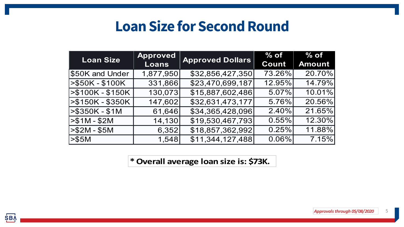## **Loan Size for Second Round**

| <b>Loan Size</b>   | <b>Approved</b> |                         | $%$ of   | $%$ of        |
|--------------------|-----------------|-------------------------|----------|---------------|
|                    | Loans           | <b>Approved Dollars</b> | Count    | <b>Amount</b> |
| \$50K and Under    | 1,877,950       | \$32,856,427,350        | 73.26%   | 20.70%        |
| $>$ \$50K - \$100K | 331,866         | \$23,470,699,187        | 12.95%   | 14.79%        |
| $> $100K - $150K$  | 130,073         | \$15,887,602,486        | 5.07%    | 10.01%        |
| >\$150K - \$350K   | 147,602         | \$32,631,473,177        | 5.76%    | 20.56%        |
| $>$ \$350K - \$1M  | 61,646          | \$34,365,428,096        | 2.40%    | 21.65%        |
| $> $1M - $2M$      | 14,130          | \$19,530,467,793        | 0.55%    | 12.30%        |
| >\$2M - \$5M       | 6,352           | \$18,857,362,992        | 0.25%    | 11.88%        |
| > \$5M             | 1,548           | \$11,344,127,488        | $0.06\%$ | 7.15%         |

**\* Overall average loan size is: \$73K.**